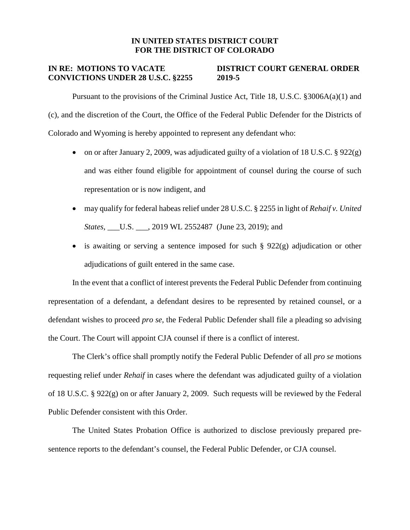## **IN UNITED STATES DISTRICT COURT FOR THE DISTRICT OF COLORADO**

## **IN RE: MOTIONS TO VACATE DISTRICT COURT GENERAL ORDER CONVICTIONS UNDER 28 U.S.C. §2255 2019-5**

Pursuant to the provisions of the Criminal Justice Act, Title 18, U.S.C. §3006A(a)(1) and (c), and the discretion of the Court, the Office of the Federal Public Defender for the Districts of Colorado and Wyoming is hereby appointed to represent any defendant who:

- on or after January 2, 2009, was adjudicated guilty of a violation of 18 U.S.C.  $\S 922(g)$ and was either found eligible for appointment of counsel during the course of such representation or is now indigent, and
- may qualify for federal habeas relief under 28 U.S.C. § 2255 in light of *Rehaif v. United States,* \_\_\_\_\_\_\_\_, 2019 WL 2552487 (June 23, 2019); and
- is awaiting or serving a sentence imposed for such  $\S$  922(g) adjudication or other adjudications of guilt entered in the same case.

In the event that a conflict of interest prevents the Federal Public Defender from continuing representation of a defendant, a defendant desires to be represented by retained counsel, or a defendant wishes to proceed *pro se*, the Federal Public Defender shall file a pleading so advising the Court. The Court will appoint CJA counsel if there is a conflict of interest.

The Clerk's office shall promptly notify the Federal Public Defender of all *pro se* motions requesting relief under *Rehaif* in cases where the defendant was adjudicated guilty of a violation of 18 U.S.C. § 922(g) on or after January 2, 2009. Such requests will be reviewed by the Federal Public Defender consistent with this Order.

The United States Probation Office is authorized to disclose previously prepared presentence reports to the defendant's counsel, the Federal Public Defender, or CJA counsel.